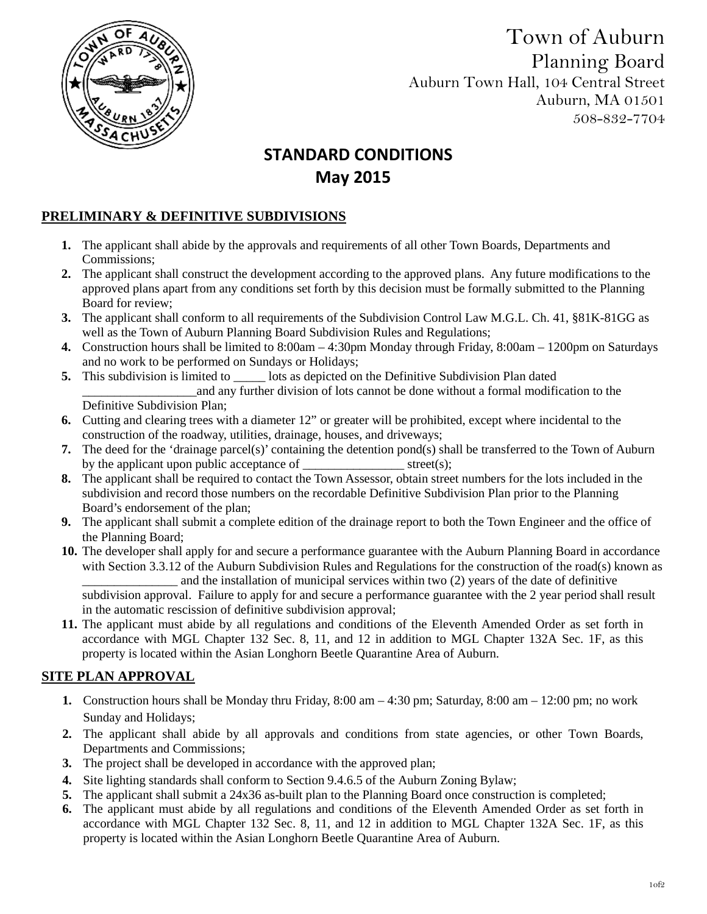

Town of Auburn Planning Board Auburn Town Hall, 104 Central Street Auburn, MA 01501 508-832-7704

# **STANDARD CONDITIONS May 2015**

### **PRELIMINARY & DEFINITIVE SUBDIVISIONS**

- **1.** The applicant shall abide by the approvals and requirements of all other Town Boards, Departments and Commissions;
- **2.** The applicant shall construct the development according to the approved plans. Any future modifications to the approved plans apart from any conditions set forth by this decision must be formally submitted to the Planning Board for review;
- **3.** The applicant shall conform to all requirements of the Subdivision Control Law M.G.L. Ch. 41, §81K-81GG as well as the Town of Auburn Planning Board Subdivision Rules and Regulations;
- **4.** Construction hours shall be limited to 8:00am 4:30pm Monday through Friday, 8:00am 1200pm on Saturdays and no work to be performed on Sundays or Holidays;
- **5.** This subdivision is limited to subdivision  $\theta$  points as depicted on the Definitive Subdivision Plan dated \_\_\_\_\_\_\_\_\_\_\_\_\_\_\_\_\_\_and any further division of lots cannot be done without a formal modification to the Definitive Subdivision Plan;
- **6.** Cutting and clearing trees with a diameter 12" or greater will be prohibited, except where incidental to the construction of the roadway, utilities, drainage, houses, and driveways;
- **7.** The deed for the 'drainage parcel(s)' containing the detention pond(s) shall be transferred to the Town of Auburn by the applicant upon public acceptance of  $\qquad \qquad \text{street}(s);$
- **8.** The applicant shall be required to contact the Town Assessor, obtain street numbers for the lots included in the subdivision and record those numbers on the recordable Definitive Subdivision Plan prior to the Planning Board's endorsement of the plan;
- **9.** The applicant shall submit a complete edition of the drainage report to both the Town Engineer and the office of the Planning Board;
- **10.** The developer shall apply for and secure a performance guarantee with the Auburn Planning Board in accordance with Section 3.3.12 of the Auburn Subdivision Rules and Regulations for the construction of the road(s) known as \_\_\_\_\_\_\_\_\_\_\_\_\_\_\_ and the installation of municipal services within two (2) years of the date of definitive subdivision approval. Failure to apply for and secure a performance guarantee with the 2 year period shall result in the automatic rescission of definitive subdivision approval;
- **11.** The applicant must abide by all regulations and conditions of the Eleventh Amended Order as set forth in accordance with MGL Chapter 132 Sec. 8, 11, and 12 in addition to MGL Chapter 132A Sec. 1F, as this property is located within the Asian Longhorn Beetle Quarantine Area of Auburn.

#### **SITE PLAN APPROVAL**

- **1.** Construction hours shall be Monday thru Friday, 8:00 am 4:30 pm; Saturday, 8:00 am 12:00 pm; no work Sunday and Holidays;
- **2.** The applicant shall abide by all approvals and conditions from state agencies, or other Town Boards, Departments and Commissions;
- **3.** The project shall be developed in accordance with the approved plan;
- **4.** Site lighting standards shall conform to Section 9.4.6.5 of the Auburn Zoning Bylaw;
- **5.** The applicant shall submit a 24x36 as-built plan to the Planning Board once construction is completed;
- **6.** The applicant must abide by all regulations and conditions of the Eleventh Amended Order as set forth in accordance with MGL Chapter 132 Sec. 8, 11, and 12 in addition to MGL Chapter 132A Sec. 1F, as this property is located within the Asian Longhorn Beetle Quarantine Area of Auburn.